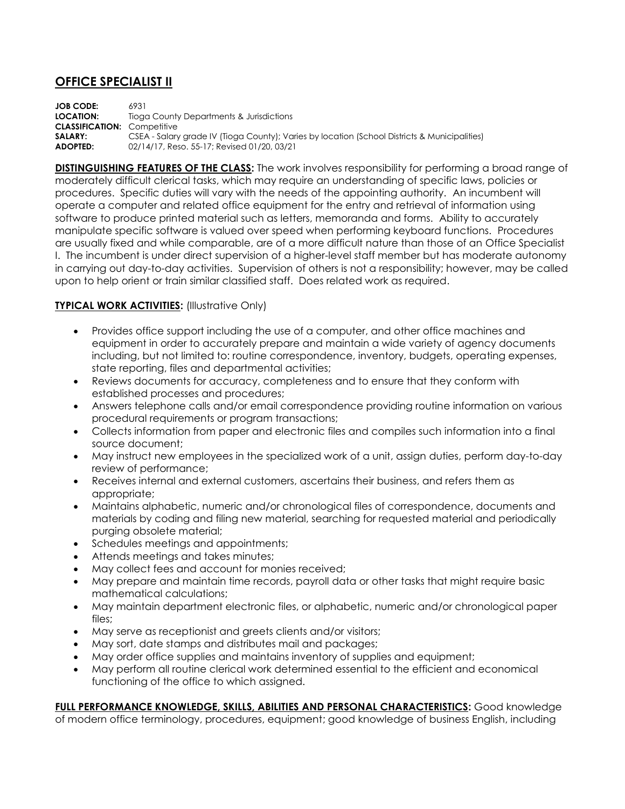## **OFFICE SPECIALIST II**

**JOB CODE:** 6931 **LOCATION:** Tioga County Departments & Jurisdictions **CLASSIFICATION:** Competitive **SALARY:** CSEA - Salary grade IV (Tioga County); Varies by location (School Districts & Municipalities) **ADOPTED:** 02/14/17, Reso. 55-17; Revised 01/20, 03/21

**DISTINGUISHING FEATURES OF THE CLASS:** The work involves responsibility for performing a broad range of moderately difficult clerical tasks, which may require an understanding of specific laws, policies or procedures. Specific duties will vary with the needs of the appointing authority. An incumbent will operate a computer and related office equipment for the entry and retrieval of information using software to produce printed material such as letters, memoranda and forms. Ability to accurately manipulate specific software is valued over speed when performing keyboard functions. Procedures are usually fixed and while comparable, are of a more difficult nature than those of an Office Specialist I. The incumbent is under direct supervision of a higher-level staff member but has moderate autonomy in carrying out day-to-day activities. Supervision of others is not a responsibility; however, may be called upon to help orient or train similar classified staff. Does related work as required.

## **TYPICAL WORK ACTIVITIES:** (Illustrative Only)

- Provides office support including the use of a computer, and other office machines and equipment in order to accurately prepare and maintain a wide variety of agency documents including, but not limited to: routine correspondence, inventory, budgets, operating expenses, state reporting, files and departmental activities;
- Reviews documents for accuracy, completeness and to ensure that they conform with established processes and procedures;
- Answers telephone calls and/or email correspondence providing routine information on various procedural requirements or program transactions;
- Collects information from paper and electronic files and compiles such information into a final source document;
- May instruct new employees in the specialized work of a unit, assign duties, perform day-to-day review of performance;
- Receives internal and external customers, ascertains their business, and refers them as appropriate;
- Maintains alphabetic, numeric and/or chronological files of correspondence, documents and materials by coding and filing new material, searching for requested material and periodically purging obsolete material;
- Schedules meetings and appointments;
- Attends meetings and takes minutes;
- May collect fees and account for monies received;
- May prepare and maintain time records, payroll data or other tasks that might require basic mathematical calculations;
- May maintain department electronic files, or alphabetic, numeric and/or chronological paper files;
- May serve as receptionist and greets clients and/or visitors;
- May sort, date stamps and distributes mail and packages;
- May order office supplies and maintains inventory of supplies and equipment;
- May perform all routine clerical work determined essential to the efficient and economical functioning of the office to which assigned.

## **FULL PERFORMANCE KNOWLEDGE, SKILLS, ABILITIES AND PERSONAL CHARACTERISTICS:** Good knowledge

of modern office terminology, procedures, equipment; good knowledge of business English, including